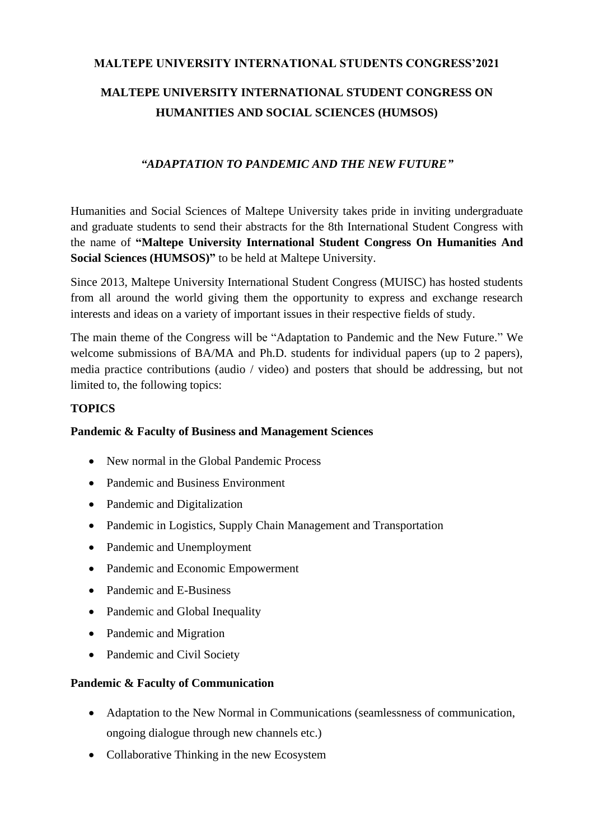# **MALTEPE UNIVERSITY INTERNATIONAL STUDENTS CONGRESS'2021**

# **MALTEPE UNIVERSITY INTERNATIONAL STUDENT CONGRESS ON HUMANITIES AND SOCIAL SCIENCES (HUMSOS)**

# *"ADAPTATION TO PANDEMIC AND THE NEW FUTURE"*

Humanities and Social Sciences of Maltepe University takes pride in inviting undergraduate and graduate students to send their abstracts for the 8th International Student Congress with the name of **"Maltepe University International Student Congress On Humanities And Social Sciences (HUMSOS)"** to be held at Maltepe University.

Since 2013, Maltepe University International Student Congress (MUISC) has hosted students from all around the world giving them the opportunity to express and exchange research interests and ideas on a variety of important issues in their respective fields of study.

The main theme of the Congress will be "Adaptation to Pandemic and the New Future." We welcome submissions of BA/MA and Ph.D. students for individual papers (up to 2 papers), media practice contributions (audio / video) and posters that should be addressing, but not limited to, the following topics:

# **TOPICS**

# **Pandemic & Faculty of Business and Management Sciences**

- New normal in the Global Pandemic Process
- Pandemic and Business Environment
- Pandemic and Digitalization
- Pandemic in Logistics, Supply Chain Management and Transportation
- Pandemic and Unemployment
- Pandemic and Economic Empowerment
- Pandemic and E-Business
- Pandemic and Global Inequality
- Pandemic and Migration
- Pandemic and Civil Society

# **Pandemic & Faculty of Communication**

- Adaptation to the New Normal in Communications (seamlessness of communication, ongoing dialogue through new channels etc.)
- Collaborative Thinking in the new Ecosystem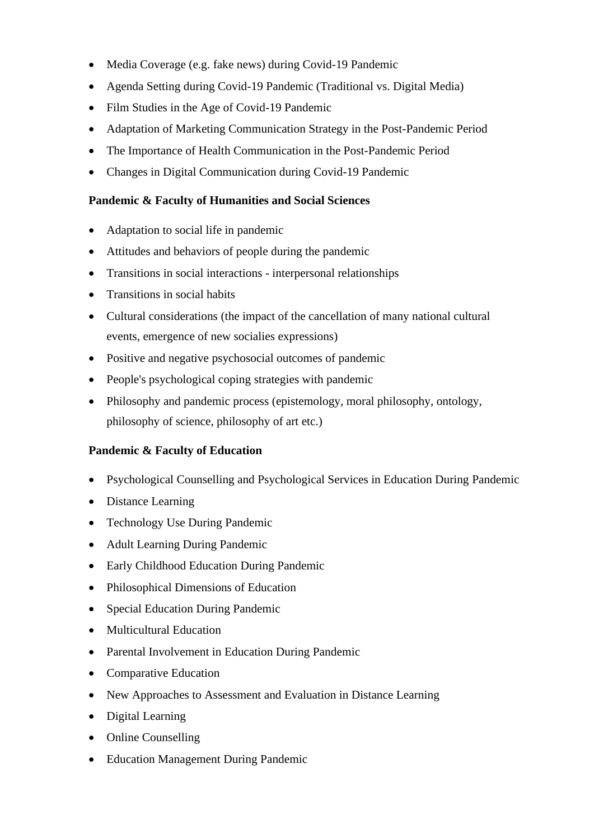- Media Coverage (e.g. fake news) during Covid-19 Pandemic
- Agenda Setting during Covid-19 Pandemic (Traditional vs. Digital Media)
- Film Studies in the Age of Covid-19 Pandemic
- Adaptation of Marketing Communication Strategy in the Post-Pandemic Period
- The Importance of Health Communication in the Post-Pandemic Period
- Changes in Digital Communication during Covid-19 Pandemic

#### **Pandemic & Faculty of Humanities and Social Sciences**

- Adaptation to social life in pandemic
- Attitudes and behaviors of people during the pandemic
- Transitions in social interactions interpersonal relationships
- Transitions in social habits
- Cultural considerations (the impact of the cancellation of many national cultural events, emergence of new socialies expressions)
- Positive and negative psychosocial outcomes of pandemic
- People's psychological coping strategies with pandemic
- Philosophy and pandemic process (epistemology, moral philosophy, ontology, philosophy of science, philosophy of art etc.)

# **Pandemic & Faculty of Education**

- Psychological Counselling and Psychological Services in Education During Pandemic
- Distance Learning
- Technology Use During Pandemic
- Adult Learning During Pandemic
- Early Childhood Education During Pandemic
- Philosophical Dimensions of Education
- Special Education During Pandemic
- Multicultural Education
- Parental Involvement in Education During Pandemic
- Comparative Education
- New Approaches to Assessment and Evaluation in Distance Learning
- Digital Learning
- Online Counselling
- Education Management During Pandemic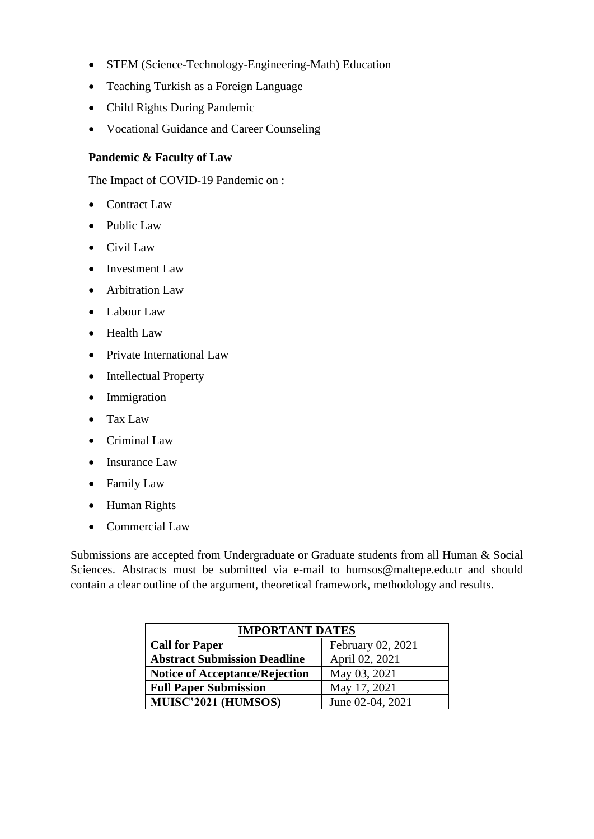- STEM (Science-Technology-Engineering-Math) Education
- Teaching Turkish as a Foreign Language
- Child Rights During Pandemic
- Vocational Guidance and Career Counseling

#### **Pandemic & Faculty of Law**

The Impact of COVID-19 Pandemic on :

- Contract Law
- Public Law
- Civil Law
- Investment Law
- Arbitration Law
- Labour Law
- Health Law
- Private International Law
- Intellectual Property
- Immigration
- Tax Law
- Criminal Law
- Insurance Law
- Family Law
- Human Rights
- Commercial Law

Submissions are accepted from Undergraduate or Graduate students from all Human & Social Sciences. Abstracts must be submitted via e-mail to humsos@maltepe.edu.tr and should contain a clear outline of the argument, theoretical framework, methodology and results.

| <b>IMPORTANT DATES</b>                |                   |
|---------------------------------------|-------------------|
| <b>Call for Paper</b>                 | February 02, 2021 |
| <b>Abstract Submission Deadline</b>   | April 02, 2021    |
| <b>Notice of Acceptance/Rejection</b> | May 03, 2021      |
| <b>Full Paper Submission</b>          | May 17, 2021      |
| MUISC'2021 (HUMSOS)                   | June 02-04, 2021  |